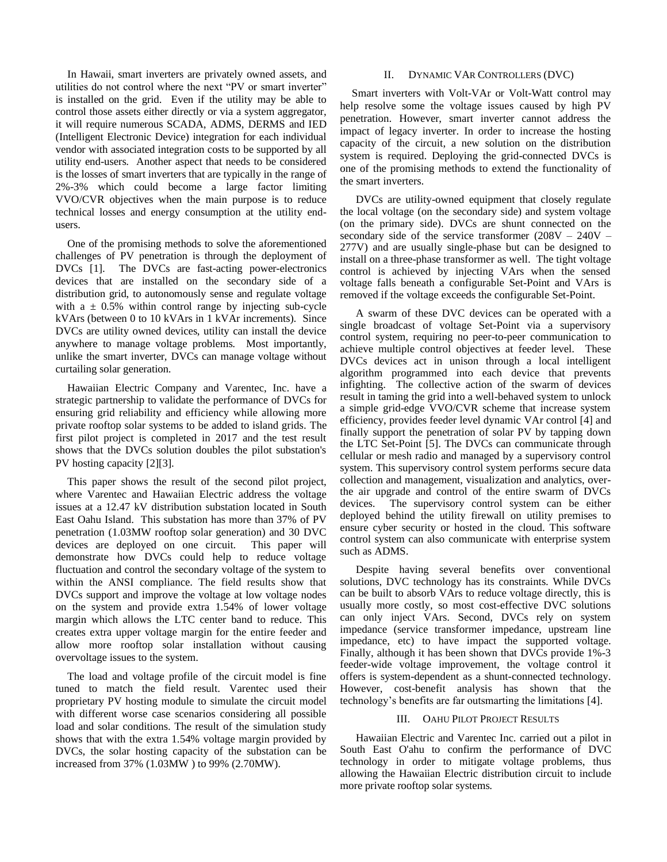In Hawaii, smart inverters are privately owned assets, and utilities do not control where the next "PV or smart inverter" is installed on the grid. Even if the utility may be able to control those assets either directly or via a system aggregator, it will require numerous SCADA, ADMS, DERMS and IED (Intelligent Electronic Device) integration for each individual vendor with associated integration costs to be supported by all utility end-users. Another aspect that needs to be considered is the losses of smart inverters that are typically in the range of 2%-3% which could become a large factor limiting VVO/CVR objectives when the main purpose is to reduce technical losses and energy consumption at the utility endusers.

One of the promising methods to solve the aforementioned challenges of PV penetration is through the deployment of DVCs [\[1\].](#page-4-0) The DVCs are fast-acting power-electronics devices that are installed on the secondary side of a distribution grid, to autonomously sense and regulate voltage with a  $\pm$  0.5% within control range by injecting sub-cycle kVArs (between 0 to 10 kVArs in 1 kVAr increments). Since DVCs are utility owned devices, utility can install the device anywhere to manage voltage problems. Most importantly, unlike the smart inverter, DVCs can manage voltage without curtailing solar generation.

Hawaiian Electric Company and Sentient Energy, Inc. have a strategic partnership to validate the performance of DVCs for ensuring grid reliability and efficiency while allowing more private rooftop solar systems to be added to island grids. The first pilot project is completed in 2017 and the test result shows that the DVCs solution doubles the pilot substation'[s P](#page-4-1)[V ho](#page-4-2)sting capacity [2][3].

This paper shows the result of the second pilot project, where Sentient Energy and Hawaiian Electric address the voltage issues at a 12.47 kV distribution substation located in South East Oahu Island. This substation has more than 37% of PV penetration (1.03MW rooftop solar generation) and 30 DVC devices are deployed on one circuit. This paper will demonstrate how DVCs could help to reduce voltage fluctuation and control the secondary voltage of the system to within the ANSI compliance. The field results show that DVCs support and improve the voltage at low voltage nodes on the system and provide extra 1.54% of lower voltage margin which allows the LTC center band to reduce. This creates extra upper voltage margin for the entire feeder and allow more rooftop solar installation without causing overvoltage issues to the system.

The load and voltage profile of the circuit model is fine tuned to match the field result. Sentient Energy used their proprietary PV hosting module to simulate the circuit model with different worse case scenarios considering all possible load and solar conditions. The result of the simulation study shows that with the extra 1.54% voltage margin provided by DVCs, the solar hosting capacity of the substation can be increased from 37% (1.03MW ) to 99% (2.70MW).

# II. DYNAMIC VAR CONTROLLERS (DVC)

Smart inverters with Volt-VAr or Volt-Watt control may help resolve some the voltage issues caused by high PV penetration. However, smart inverter cannot address the impact of legacy inverter. In order to increase the hosting capacity of the circuit, a new solution on the distribution system is required. Deploying the grid-connected DVCs is one of the promising methods to extend the functionality of the smart inverters.

DVCs are utility-owned equipment that closely regulate the local voltage (on the secondary side) and system voltage (on the primary side). DVCs are shunt connected on the secondary side of the service transformer  $(208V - 240V - 168V)$ 277V) and are usually single-phase but can be designed to install on a three-phase transformer as well. The tight voltage control is achieved by injecting VArs when the sensed voltage falls beneath a configurable Set-Point and VArs is removed if the voltage exceeds the configurable Set-Point.

A swarm of these DVC devices can be operated with a single broadcast of voltage Set-Point via a supervisory control system, requiring no peer-to-peer communication to achieve multiple control objectives at feeder level. These DVCs devices act in unison through a local intelligent algorithm programmed into each device that prevents infighting. The collective action of the swarm of devices result in taming the grid into a well-behaved system to unlock a simple grid-edge VVO/CVR scheme that increase system efficiency, provides feeder level dynamic VAr control [\[4\]](#page-4-3) and finally support the penetration of solar PV by tapping down the LTC Set-Point [\[5\].](#page-4-4) The DVCs can communicate through cellular or mesh radio and managed by a supervisory control system. This supervisory control system performs secure data collection and management, visualization and analytics, overthe air upgrade and control of the entire swarm of DVCs devices. The supervisory control system can be either deployed behind the utility firewall on utility premises to ensure cyber security or hosted in the cloud. This software control system can also communicate with enterprise system such as ADMS.

Despite having several benefits over conventional solutions, DVC technology has its constraints. While DVCs can be built to absorb VArs to reduce voltage directly, this is usually more costly, so most cost-effective DVC solutions can only inject VArs. Second, DVCs rely on system impedance (service transformer impedance, upstream line impedance, etc) to have impact the supported voltage. Finally, although it has been shown that DVCs provide 1%-3 feeder-wide voltage improvement, the voltage control it offers is system-dependent as a shunt-connected technology. However, cost-benefit analysis has shown that the technology's benefits are far outsmarting the limitations [\[4\].](#page-4-3)

## III. OAHU PILOT PROJECT RESULTS

Hawaiian Electric and Sentient Energy, Inc. carried out a pilot inSouth East O'ahu to confirm the performance of DVC technology in order to mitigate voltage problems, thus allowing the Hawaiian Electric distribution circuit to include more private rooftop solar systems.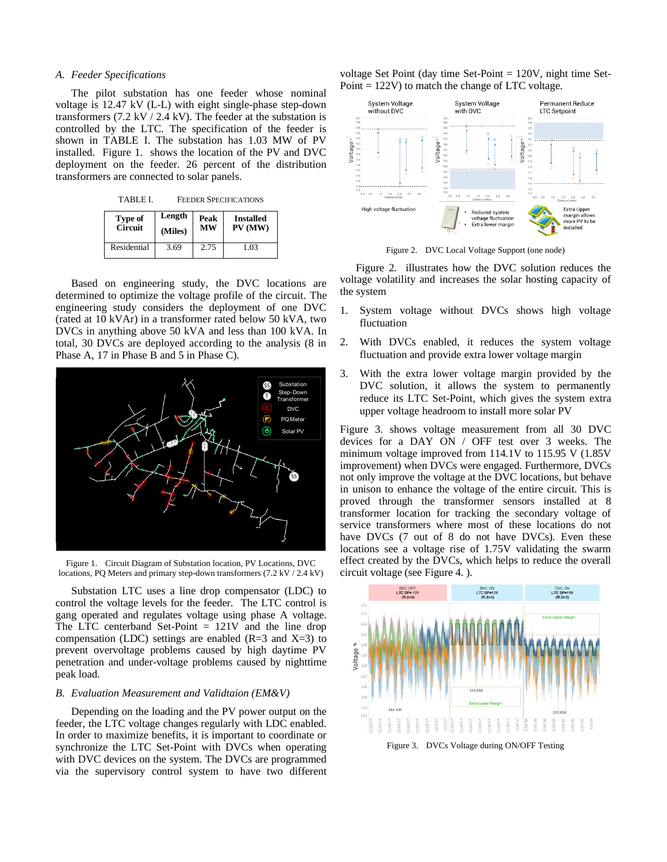## *A. Feeder Specifications*

The pilot substation has one feeder whose nominal voltage is 12.47 kV (L-L) with eight single-phase step-down transformers  $(7.2 \text{ kV} / 2.4 \text{ kV})$ . The feeder at the substation is controlled by the LTC. The specification of the feeder is shown in TABLE I. The substation has 1.03 MW of PV installed. [Figure 1.](#page-2-0) shows the location of the PV and DVC deployment on the feeder. 26 percent of the distribution transformers are connected to solar panels.

TABLE I. FEEDER SPECIFICATIONS **Type of Circuit Length (Miles) Peak MW Installed PV (MW)** Residential 3.69 2.75 1.03

Based on engineering study, the DVC locations are determined to optimize the voltage profile of the circuit. The engineering study considers the deployment of one DVC (rated at 10 kVAr) in a transformer rated below 50 kVA, two DVCs in anything above 50 kVA and less than 100 kVA. In total, 30 DVCs are deployed according to the analysis (8 in Phase A, 17 in Phase B and 5 in Phase C).



<span id="page-2-0"></span>Figure 1. Circuit Diagram of Substation location, PV Locations, DVC locations, PQ Meters and primary step-down transformers (7.2 kV / 2.4 kV)

Substation LTC uses a line drop compensator (LDC) to control the voltage levels for the feeder. The LTC control is gang operated and regulates voltage using phase A voltage. The LTC centerband Set-Point  $= 121V$  and the line drop compensation (LDC) settings are enabled (R=3 and X=3) to prevent overvoltage problems caused by high daytime PV penetration and under-voltage problems caused by nighttime peak load.

## *B. Evaluation Measurement and Validtaion (EM&V)*

Depending on the loading and the PV power output on the feeder, the LTC voltage changes regularly with LDC enabled. In order to maximize benefits, it is important to coordinate or synchronize the LTC Set-Point with DVCs when operating with DVC devices on the system. The DVCs are programmed via the supervisory control system to have two different voltage Set Point (day time Set-Point = 120V, night time Set-Point = 122V) to match the change of LTC voltage.



Figure 2. DVC Local Voltage Support (one node)

<span id="page-2-1"></span>[Figure 2.](#page-2-1) illustrates how the DVC solution reduces the voltage volatility and increases the solar hosting capacity of the system

- 1. System voltage without DVCs shows high voltage fluctuation
- 2. With DVCs enabled, it reduces the system voltage fluctuation and provide extra lower voltage margin
- 3. With the extra lower voltage margin provided by the DVC solution, it allows the system to permanently reduce its LTC Set-Point, which gives the system extra upper voltage headroom to install more solar PV

[Figure 3. s](#page-2-2)hows voltage measurement from all 30 DVC devices for a DAY ON / OFF test over 3 weeks. The minimum voltage improved from 114.1V to 115.95 V (1.85V improvement) when DVCs were engaged. Furthermore, DVCs not only improve the voltage at the DVC locations, but behave in unison to enhance the voltage of the entire circuit. This is proved through the transformer sensors installed at 8 transformer location for tracking the secondary voltage of service transformers where most of these locations do not have DVCs (7 out of 8 do not have DVCs). Even these locations see a voltage rise of 1.75V validating the swarm effect created by the DVCs, which helps to reduce the overall circuit voltage (se[e Figure 4. \)](#page-3-0).



<span id="page-2-2"></span>Figure 3. DVCs Voltage during ON/OFF Testing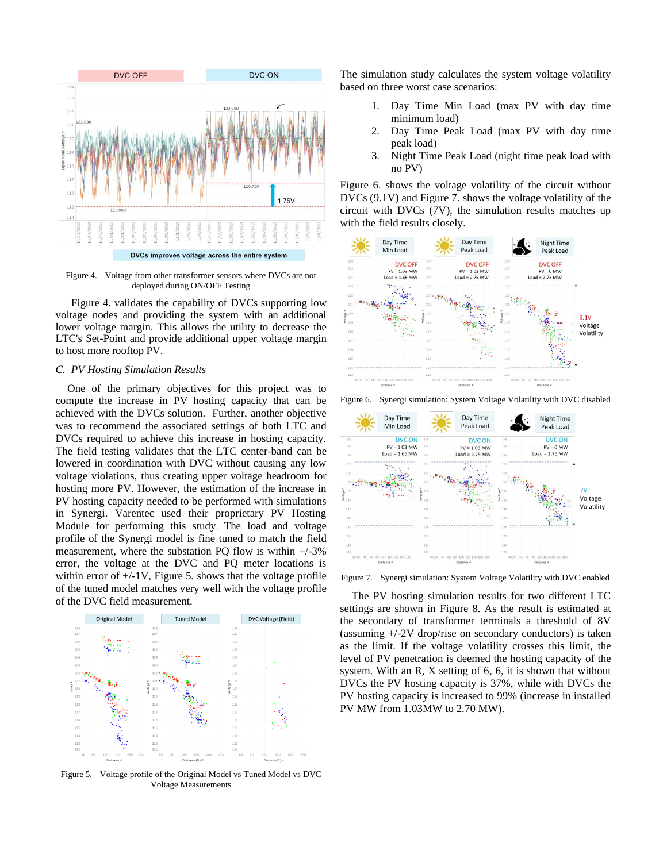

<span id="page-3-0"></span>Figure 4. Voltage from other transformer sensors where DVCs are not deployed during ON/OFF Testing

[Figure 4. v](#page-3-0)alidates the capability of DVCs supporting low voltage nodes and providing the system with an additional lower voltage margin. This allows the utility to decrease the LTC's Set-Point and provide additional upper voltage margin to host more rooftop PV.

## *C. PV Hosting Simulation Results*

One of the primary objectives for this project was to compute the increase in PV hosting capacity that can be achieved with the DVCs solution. Further, another objective was to recommend the associated settings of both LTC and DVCs required to achieve this increase in hosting capacity. The field testing validates that the LTC center-band can be lowered in coordination with DVC without causing any low voltage violations, thus creating upper voltage headroom for hosting more PV. However, the estimation of the increase in PV hosting capacity needed to be performed with simulations in Synergi. Sentient Energy used their proprietary PV Hosting Module for performing this study. The load and voltage profile of the Synergi model is fine tuned to match the field measurement, where the substation PQ flow is within +/-3% error, the voltage at the DVC and PQ meter locations is w[ithin error o](#page-3-1)f  $+/-1V$ , Figure 5. shows that the voltage profile of the tuned model matches very well with the voltage profile of the DVC field measurement.



<span id="page-3-1"></span>Figure 5. Voltage profile of the Original Model vs Tuned Model vs DVC Voltage Measurements

The simulation study calculates the system voltage volatility based on three worst case scenarios:

- 1. Day Time Min Load (max PV with day time minimum load)
- 2. Day Time Peak Load (max PV with day time peak load)
- 3. Night Time Peak Load (night time peak load with no PV)

[Figure 6. s](#page-3-2)hows the voltage volatility of the circuit without DVCs (9.1V) and [Figure 7. s](#page-3-3)hows the voltage volatility of the circuit with DVCs (7V), the simulation results matches up with the field results closely.



<span id="page-3-2"></span>



<span id="page-3-3"></span>Figure 7. Synergi simulation: System Voltage Volatility with DVC enabled

The PV hosting simulation results for two different LTC settings are shown in [Figure 8. A](#page-4-5)s the result is estimated at the secondary of transformer terminals a threshold of 8V (assuming +/-2V drop/rise on secondary conductors) is taken as the limit. If the voltage volatility crosses this limit, the level of PV penetration is deemed the hosting capacity of the system. With an R, X setting of 6, 6, it is shown that without DVCs the PV hosting capacity is 37%, while with DVCs the PV hosting capacity is increased to 99% (increase in installed PV MW from 1.03MW to 2.70 MW).